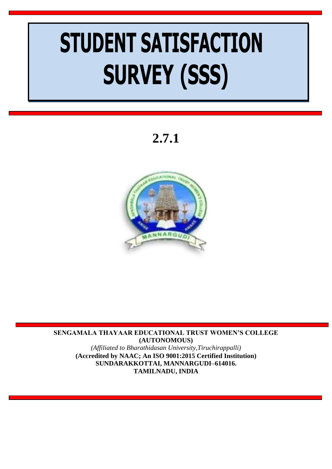# **STUDENT SATISFACTION SURVEY (SSS)**

**2.7.1**



**SENGAMALA THAYAAR EDUCATIONAL TRUST WOMEN'S COLLEGE (AUTONOMOUS)** *(Affiliated to Bharathidasan University,Tiruchirappalli)* **(Accredited by NAAC; An ISO 9001:2015 Certified Institution) SUNDARAKKOTTAI, MANNARGUDI–614016. TAMILNADU, INDIA**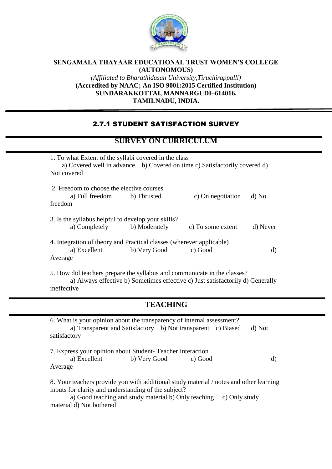

### **SENGAMALA THAYAAR EDUCATIONAL TRUST WOMEN'S COLLEGE (AUTONOMOUS)** *(Affiliated to Bharathidasan University,Tiruchirappalli)* **(Accredited by NAAC; An ISO 9001:2015 Certified Institution) SUNDARAKKOTTAI, MANNARGUDI–614016. TAMILNADU, INDIA.**

## 2.7.1 STUDENT SATISFACTION SURVEY

## **SURVEY ON CURRICULUM**

| 1. To what Extent of the syllabi covered in the class<br>a) Covered well in advance b) Covered on time c) Satisfactorily covered d)<br>Not covered |              |                   |          |  |  |
|----------------------------------------------------------------------------------------------------------------------------------------------------|--------------|-------------------|----------|--|--|
| 2. Freedom to choose the elective courses<br>a) Full freedom b) Thrusted<br>freedom                                                                |              | c) On negotiation | d) No    |  |  |
| 3. Is the syllabus helpful to develop your skills?<br>a) Completely b) Moderately                                                                  |              | c) To some extent | d) Never |  |  |
| 4. Integration of theory and Practical classes (wherever applicable)<br>a) Excellent<br>Average                                                    | b) Very Good | c) Good           | d)       |  |  |

5. How did teachers prepare the syllabus and communicate in the classes? a) Always effective b) Sometimes effective c) Just satisfactorily d) Generally ineffective

## **TEACHING**

| 6. What is your opinion about the transparency of internal assessment?                 |              |         |               |        |  |  |
|----------------------------------------------------------------------------------------|--------------|---------|---------------|--------|--|--|
| a) Transparent and Satisfactory b) Not transparent c) Biased                           |              |         |               | d) Not |  |  |
| satisfactory                                                                           |              |         |               |        |  |  |
|                                                                                        |              |         |               |        |  |  |
| 7. Express your opinion about Student-Teacher Interaction                              |              |         |               |        |  |  |
| a) Excellent                                                                           | b) Very Good | c) Good |               | d)     |  |  |
| Average                                                                                |              |         |               |        |  |  |
|                                                                                        |              |         |               |        |  |  |
| 8. Your teachers provide you with additional study material / notes and other learning |              |         |               |        |  |  |
| inputs for clarity and understanding of the subject?                                   |              |         |               |        |  |  |
| a) Good teaching and study material b) Only teaching                                   |              |         |               |        |  |  |
|                                                                                        |              |         | c) Only study |        |  |  |
| material d) Not bothered                                                               |              |         |               |        |  |  |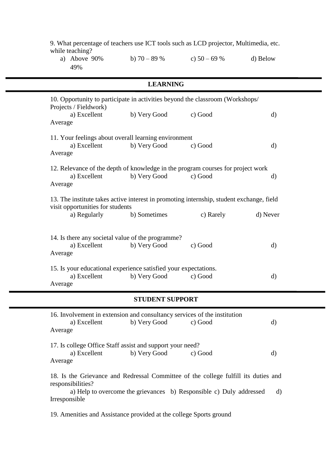| 9. What percentage of teachers use ICT tools such as LCD projector, Multimedia, etc.<br>while teaching?                      |                        |               |              |  |
|------------------------------------------------------------------------------------------------------------------------------|------------------------|---------------|--------------|--|
| a) Above $90\%$<br>49%                                                                                                       | b) $70 - 89%$          | c) $50 - 69%$ | d) Below     |  |
|                                                                                                                              | <b>LEARNING</b>        |               |              |  |
| 10. Opportunity to participate in activities beyond the classroom (Workshops/<br>Projects / Fieldwork)                       |                        |               |              |  |
| a) Excellent<br>Average                                                                                                      | b) Very Good           | c) Good       | d)           |  |
| 11. Your feelings about overall learning environment                                                                         |                        |               |              |  |
| a) Excellent<br>Average                                                                                                      | b) Very Good           | c) Good       | $\mathbf{d}$ |  |
| 12. Relevance of the depth of knowledge in the program courses for project work                                              |                        |               |              |  |
| a) Excellent<br>Average                                                                                                      | b) Very Good           | c) Good       | d)           |  |
| 13. The institute takes active interest in promoting internship, student exchange, field<br>visit opportunities for students |                        |               |              |  |
| a) Regularly                                                                                                                 | b) Sometimes           | c) Rarely     | d) Never     |  |
| 14. Is there any societal value of the programme?<br>a) Excellent<br>Average                                                 | b) Very Good           | c) Good       | $\mathbf{d}$ |  |
| 15. Is your educational experience satisfied your expectations.                                                              |                        |               |              |  |
| a) Excellent<br>Average                                                                                                      | b) Very Good           | c) Good       | d)           |  |
|                                                                                                                              | <b>STUDENT SUPPORT</b> |               |              |  |
| 16. Involvement in extension and consultancy services of the institution                                                     |                        |               |              |  |
| a) Excellent<br>Average                                                                                                      | b) Very Good           | c) Good       | d)           |  |
| 17. Is college Office Staff assist and support your need?                                                                    |                        |               |              |  |
| a) Excellent<br>Average                                                                                                      | b) Very Good           | c) Good       | $\rm d)$     |  |
| 18. Is the Grievance and Redressal Committee of the college fulfill its duties and<br>responsibilities?                      |                        |               |              |  |

a) Help to overcome the grievances b) Responsible c) Duly addressed d) Irresponsible

19. Amenities and Assistance provided at the college Sports ground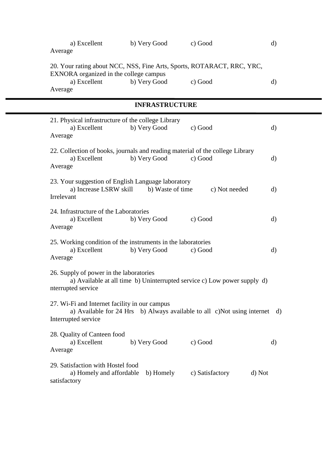| a) Excellent<br>Average                                                                                                                     | b) Very Good          | c) Good                                                                    | $\mathbf{d}$ |
|---------------------------------------------------------------------------------------------------------------------------------------------|-----------------------|----------------------------------------------------------------------------|--------------|
| 20. Your rating about NCC, NSS, Fine Arts, Sports, ROTARACT, RRC, YRC,<br>EXNORA organized in the college campus<br>a) Excellent<br>Average | b) Very Good          | c) Good                                                                    | d)           |
|                                                                                                                                             | <b>INFRASTRUCTURE</b> |                                                                            |              |
| 21. Physical infrastructure of the college Library<br>a) Excellent<br>Average                                                               | b) Very Good          | c) Good                                                                    | d)           |
| 22. Collection of books, journals and reading material of the college Library<br>a) Excellent<br>Average                                    | b) Very Good          | c) Good                                                                    | d)           |
| 23. Your suggestion of English Language laboratory<br>a) Increase LSRW skill<br>Irrelevant                                                  | b) Waste of time      | c) Not needed                                                              | $\mathbf{d}$ |
| 24. Infrastructure of the Laboratories<br>a) Excellent<br>Average                                                                           | b) Very Good          | c) Good                                                                    | d)           |
| 25. Working condition of the instruments in the laboratories<br>a) Excellent<br>Average                                                     | b) Very Good          | c) Good                                                                    | d)           |
| 26. Supply of power in the laboratories<br>nterrupted service                                                                               |                       | a) Available at all time b) Uninterrupted service c) Low power supply d)   |              |
| 27. Wi-Fi and Internet facility in our campus<br>Interrupted service                                                                        |                       | a) Available for 24 Hrs b) Always available to all c)Not using internet d) |              |
| 28. Quality of Canteen food<br>a) Excellent<br>Average                                                                                      | b) Very Good          | c) Good                                                                    | d)           |
| 29. Satisfaction with Hostel food<br>a) Homely and affordable<br>satisfactory                                                               | b) Homely             | c) Satisfactory<br>d) Not                                                  |              |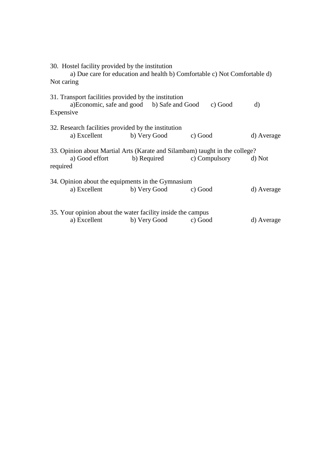| Not caring |              | 30. Hostel facility provided by the institution                                                    | a) Due care for education and health b) Comfortable c) Not Comfortable d)                                                      |              |
|------------|--------------|----------------------------------------------------------------------------------------------------|--------------------------------------------------------------------------------------------------------------------------------|--------------|
| Expensive  |              | 31. Transport facilities provided by the institution<br>a)Economic, safe and good b) Safe and Good | c) Good                                                                                                                        | $\mathbf{d}$ |
|            | a) Excellent | 32. Research facilities provided by the institution<br>b) Very Good c) Good                        |                                                                                                                                | d) Average   |
| required   |              |                                                                                                    | 33. Opinion about Martial Arts (Karate and Silambam) taught in the college?<br>a) Good effort b) Required c) Compulsory d) Not |              |
|            | a) Excellent | 34. Opinion about the equipments in the Gymnasium<br>b) Very Good c) Good                          |                                                                                                                                | d) Average   |
|            | a) Excellent | 35. Your opinion about the water facility inside the campus<br>b) Very Good c) Good                |                                                                                                                                | d) Average   |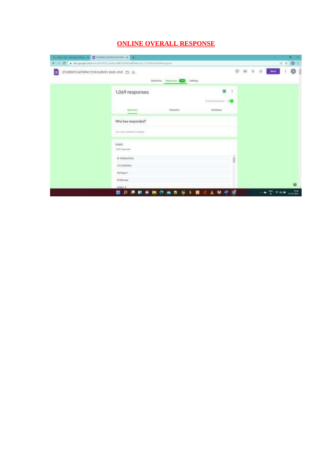## **ONLINE OVERALL RESPONSE**

| $\sim$ martin announced pro $\sim$ $\Box$ shown addition term $\sim$ $\sim$ |                                                                               |               |          |                                         |               |    |   |           |     | о                 | × |
|-----------------------------------------------------------------------------|-------------------------------------------------------------------------------|---------------|----------|-----------------------------------------|---------------|----|---|-----------|-----|-------------------|---|
| e u                                                                         | C + docupage.com/form/UVU/SE]-DetGodNeESLELtyMOGAs/Zac 55sf3theQtadDhespresse |               |          |                                         |               |    |   |           | 改 立 | 0:1               |   |
| 5TUDENTS SATISFACTION SURVEY 2020-2021 白 合                                  | 20032331<br>Questions                                                         | Requires 1000 | Tettings |                                         | O             | œ. | b | e<br>lent |     |                   |   |
|                                                                             | 1.069 responses                                                               |               |          | ŧ                                       | $\frac{1}{2}$ |    |   |           |     |                   |   |
|                                                                             | <b>Surrenary</b>                                                              | Quostian      | (1.1)-50 | Ali-Aplity Hopmann<br><b>Fedividual</b> |               |    |   |           |     |                   |   |
|                                                                             | Who has responded?                                                            |               |          |                                         |               |    |   |           |     |                   |   |
|                                                                             | They receive you go benefit for display at                                    |               |          |                                         |               |    |   |           |     |                   |   |
|                                                                             | NAME<br>1,055 reagainings                                                     |               |          |                                         |               |    |   |           |     |                   |   |
|                                                                             | M. Machsavitta<br>A.K.KOWSIKA<br>rocca                                        |               |          |                                         | n             |    |   |           |     |                   |   |
|                                                                             | Alchapa V<br>M. Alamaya                                                       |               |          |                                         |               |    |   |           |     |                   |   |
|                                                                             | Stehn 3                                                                       |               |          |                                         |               |    |   |           |     |                   |   |
|                                                                             | 뜵<br>ø                                                                        |               |          | ะ                                       |               |    |   | 쨆         | 空中期 | 1929<br>8103 0903 |   |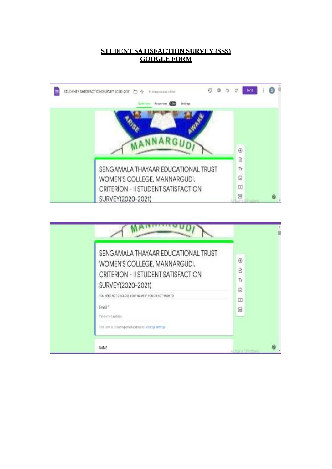### **STUDENT SATISFACTION SURVEY (SSS) GOOGLE FORM**

| STUDENTS SATISFACTION SURVEY 2020-2021<br>All charges sweet in Drive<br>$\mathcal{R}^{\mathcal{M}}$ |                      | <b>Sent</b> |  |
|-----------------------------------------------------------------------------------------------------|----------------------|-------------|--|
| Settings<br><b>EHADOTIMA</b>                                                                        |                      |             |  |
|                                                                                                     |                      |             |  |
|                                                                                                     |                      |             |  |
|                                                                                                     |                      |             |  |
|                                                                                                     | $\odot$              |             |  |
|                                                                                                     | Ø                    |             |  |
| SENGAMALA THAYAAR EDUCATIONAL TRUST                                                                 | Tr                   |             |  |
| WOMEN'S COLLEGE, MANNARGUDI.                                                                        | G                    |             |  |
| CRITERION - II STUDENT SATISFACTION                                                                 | $\boxed{\textbf{E}}$ |             |  |
| SURVEY(2020-2021)                                                                                   | 吕                    |             |  |

| SENGAMALA THAYAAR EDUCATIONAL TRUST<br>WOMEN'S COLLEGE, MANNARGUDI.<br>CRITERION - II STUDENT SATISFACTION<br>SURVEY(2020-2021)<br>YOU NEED NOT DISCLOSE YOUR NAME IF YOU DO NOT WISH TO<br>Email "<br>Yukid email address<br>This form in collecting email addresses. Chaope settings: | $\odot$<br>9<br>Тr<br>Q<br>$\overline{E}$<br>吕 |   |
|-----------------------------------------------------------------------------------------------------------------------------------------------------------------------------------------------------------------------------------------------------------------------------------------|------------------------------------------------|---|
| NAME                                                                                                                                                                                                                                                                                    | Activate Windows                               | ଈ |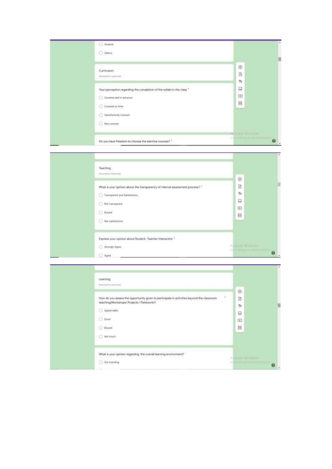| G Stimble                                                                                                                                                                                                                                                                                  |                                                                               |
|--------------------------------------------------------------------------------------------------------------------------------------------------------------------------------------------------------------------------------------------------------------------------------------------|-------------------------------------------------------------------------------|
| $\bigcirc$ others                                                                                                                                                                                                                                                                          |                                                                               |
| Curriculum<br>$\label{eq:3} \begin{split} \text{Dergon}(\mathcal{A}) = \text{Dergon}(\mathcal{A}) \end{split}$<br>Your perception regarding the completion of the syliabi in the class."<br>C. Covered well in advance<br>$\bigcirc$ Covered on time<br>C Satafactoriy covered<br>Notcount | $_{\odot}$<br>Đ<br>Tr.<br>Q<br>$\left  \mathbf{F} \right $<br>e<br>ma Windows |
| Do you have freedom to choose the elective courses? "                                                                                                                                                                                                                                      | $\boldsymbol{\omega}$                                                         |

| Teaching                              |                                                                               |                 |
|---------------------------------------|-------------------------------------------------------------------------------|-----------------|
| Description (Aphamin)                 |                                                                               | $\odot$         |
|                                       |                                                                               |                 |
|                                       | What is your opinion about the transparency of internal assessment process? " | $\mathfrak{D}$  |
| <b>C</b> Transported and Batisfactory |                                                                               | Tr.             |
| <b>O. Not transparent</b>             |                                                                               | $\Box$          |
|                                       |                                                                               | 回               |
| $\bigcirc$ Bland                      |                                                                               | Ë               |
| Ant anti-factory                      |                                                                               |                 |
|                                       | Express your opinion about Student-Teacher Interaction."                      |                 |
| <b>C</b> Strongly Agree               |                                                                               | A ButterWindows |

| Learning<br>Unamples (Internet)<br>How do you assess the opportunity given to participate in activities beyond the classroom<br>teaching(Workshaps/ Projects / Fieldwork)?<br>Appreciable<br>$O$ Good<br>C Bened | $^\circledR$<br>ä<br>Tr.<br>$\Box$<br>田<br>B |  |
|------------------------------------------------------------------------------------------------------------------------------------------------------------------------------------------------------------------|----------------------------------------------|--|
| O Not much<br>What is your opinion regarding the overall learning environment!<br>'불이 어디지면 한 차 있어서' 이차 '불이 잘 보고 있어서 보기 위해 보기요'<br>Out meeting                                                                    | <b>County Williams</b>                       |  |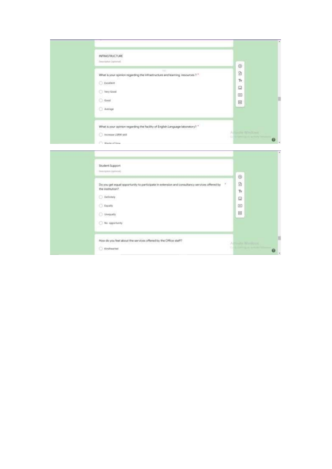| <b>INFRASTRUCTURE</b>                                                                                                                               |                |          |
|-----------------------------------------------------------------------------------------------------------------------------------------------------|----------------|----------|
| Description (optional)                                                                                                                              | $\odot$        |          |
| 141<br>What is your opinion regarding the infrastructure and learning resources ? *                                                                 | Ø              |          |
| $\begin{tabular}{ c c } \hline \multicolumn{3}{ c }{\textbf{Excylinder}}\\ \hline \multicolumn{3}{ c }{\textbf{Excylinder}}\\ \hline \end{tabular}$ | Tr             |          |
| Ney Good                                                                                                                                            | Q              |          |
| $\bigcirc$ -Good                                                                                                                                    | 田<br>层         | B        |
| Arerage                                                                                                                                             |                |          |
|                                                                                                                                                     |                |          |
| What is your opinion regarding the facility of English Language laboratory? *                                                                       | Albert Windows |          |
| O INcrease LSRW gkill                                                                                                                               | $\bullet$ .    |          |
| Ullasta of time                                                                                                                                     |                |          |
|                                                                                                                                                     |                | $\alpha$ |
| Student Support                                                                                                                                     |                |          |
|                                                                                                                                                     |                |          |

| Student Support<br>Dentisten.comment                                                                                                                                        | $\oplus$                                   |           |
|-----------------------------------------------------------------------------------------------------------------------------------------------------------------------------|--------------------------------------------|-----------|
| Do you get equal opportunity to participate in extension and consultancy services offered by<br>the institution?<br>O Definisty<br>C Equally<br>C Unequely<br>As operturity | B<br>Tr<br>同<br>回<br>g                     |           |
| How do you feel about the services offered by the Office staff?<br>G Kiralbeatted                                                                                           | Higher Williams<br><b>COLOR CONTRACTOR</b> | $\bullet$ |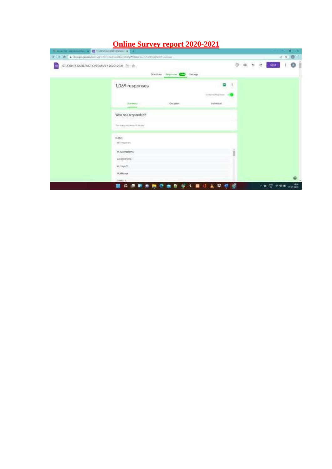|  |  | <b>Online Survey report 2020-2021</b> |  |
|--|--|---------------------------------------|--|
|  |  |                                       |  |

| C HARTIS environment of C SHOON ADDRESS ON THE R                            |                                                             |                                                   |                                             |            |   |   |                      |      | ۵<br>œ    |  |
|-----------------------------------------------------------------------------|-------------------------------------------------------------|---------------------------------------------------|---------------------------------------------|------------|---|---|----------------------|------|-----------|--|
| ← = C + docupage.com/hmn/V1/832-butGodWcElx83/WD4ArCar(StaffheQuatthaquese) |                                                             |                                                   |                                             |            |   |   |                      | 15 ☆ | 0:1       |  |
| STUDENTS SATISFACTION SURVEY 2020-2021 [ C ]<br>$\Delta$                    |                                                             | <b>DESCRIPTION</b><br>Requires \$500<br>Questions | Tettings                                    |            | Þ | e | <b>Level</b>         |      |           |  |
|                                                                             | 1,069 responses                                             |                                                   | e                                           | $\ddagger$ |   |   |                      |      |           |  |
|                                                                             | <b>Surrenary</b>                                            | Quoritist                                         | <b>Alimating Hopmann</b><br><b>Frishhal</b> |            |   |   |                      |      |           |  |
|                                                                             | Who has responded?<br>Carl A. A. Correll M. Britten Correll |                                                   |                                             |            |   |   |                      |      |           |  |
|                                                                             | Tom many recipients 14, display.<br><b>NAME</b>             |                                                   |                                             |            |   |   |                      |      |           |  |
|                                                                             | 1,055 responses<br>M. Machamitta                            |                                                   |                                             | n          |   |   |                      |      |           |  |
|                                                                             | AX, KOWSIVA<br>ooma<br>Atchapa V                            |                                                   |                                             |            |   |   |                      |      |           |  |
|                                                                             | M/Alizani<br>Stehl 3                                        |                                                   |                                             |            |   |   |                      |      | $\bullet$ |  |
|                                                                             | . .<br>₩                                                    | $\sim$<br>$\sim$ $\sim$                           | 上は前に<br>雷                                   |            |   |   | <b>A 4 5 6 6 8 9</b> |      | 1628      |  |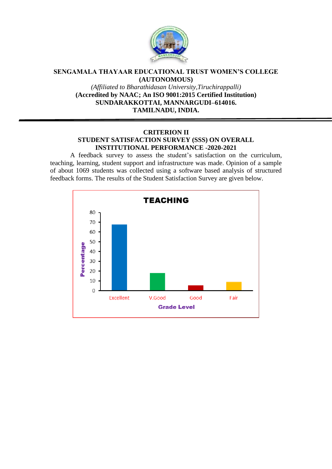

#### **SENGAMALA THAYAAR EDUCATIONAL TRUST WOMEN'S COLLEGE (AUTONOMOUS)**

*(Affiliated to Bharathidasan University,Tiruchirappalli)* **(Accredited by NAAC; An ISO 9001:2015 Certified Institution) SUNDARAKKOTTAI, MANNARGUDI–614016. TAMILNADU, INDIA.**

### **CRITERION II STUDENT SATISFACTION SURVEY (SSS) ON OVERALL INSTITUTIONAL PERFORMANCE -2020-2021**

A feedback survey to assess the student's satisfaction on the curriculum, teaching, learning, student support and infrastructure was made. Opinion of a sample of about 1069 students was collected using a software based analysis of structured feedback forms. The results of the Student Satisfaction Survey are given below.